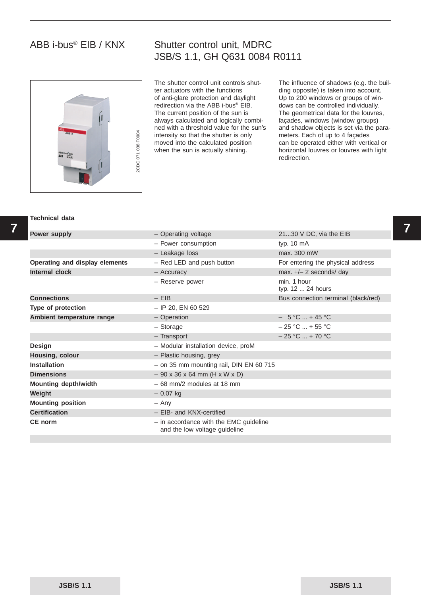# ABB i-bus® EIB / KNX

### Shutter control unit, MDRC JSB/S 1.1, GH Q631 0084 R0111



The shutter control unit controls shutter actuators with the functions of anti-glare protection and daylight redirection via the ABB i-bus® EIB. The current position of the sun is always calculated and logically combined with a threshold value for the sun's intensity so that the shutter is only moved into the calculated position when the sun is actually shining.

The influence of shadows (e.g. the building opposite) is taken into account. Up to 200 windows or groups of windows can be controlled individually. The geometrical data for the louvres, façades, windows (window groups) and shadow objects is set via the parameters. Each of up to 4 façades can be operated either with vertical or horizontal louvres or louvres with light redirection.

#### **Technical data**

| <b>Power supply</b>            | - Operating voltage                                                       | 2130 V DC, via the EIB              |  |
|--------------------------------|---------------------------------------------------------------------------|-------------------------------------|--|
|                                | - Power consumption                                                       | typ. 10 mA                          |  |
|                                | - Leakage loss                                                            | max. 300 mW                         |  |
| Operating and display elements | - Red LED and push button                                                 | For entering the physical address   |  |
| Internal clock                 | - Accuracy                                                                | max. $+/- 2$ seconds/ day           |  |
|                                | - Reserve power                                                           | min. 1 hour<br>typ. 12  24 hours    |  |
| <b>Connections</b>             | $-$ EIB                                                                   | Bus connection terminal (black/red) |  |
| Type of protection             | $-$ IP 20, EN 60 529                                                      |                                     |  |
| Ambient temperature range      | - Operation                                                               | $-5$ °C  + 45 °C                    |  |
|                                | $-$ Storage                                                               | $-25$ °C  + 55 °C                   |  |
|                                | - Transport                                                               | $-25$ °C  + 70 °C                   |  |
| <b>Design</b>                  | - Modular installation device, proM                                       |                                     |  |
| Housing, colour                | - Plastic housing, grey                                                   |                                     |  |
| <b>Installation</b>            | $-$ on 35 mm mounting rail, DIN EN 60 715                                 |                                     |  |
| <b>Dimensions</b>              | $-90 \times 36 \times 64$ mm (H x W x D)                                  |                                     |  |
| <b>Mounting depth/width</b>    | $-68$ mm/2 modules at 18 mm                                               |                                     |  |
| Weight                         | $-0.07$ kg                                                                |                                     |  |
| <b>Mounting position</b>       | $-$ Any                                                                   |                                     |  |
| <b>Certification</b>           | - EIB- and KNX-certified                                                  |                                     |  |
| CE norm                        | $-$ in accordance with the EMC guideline<br>and the low voltage guideline |                                     |  |